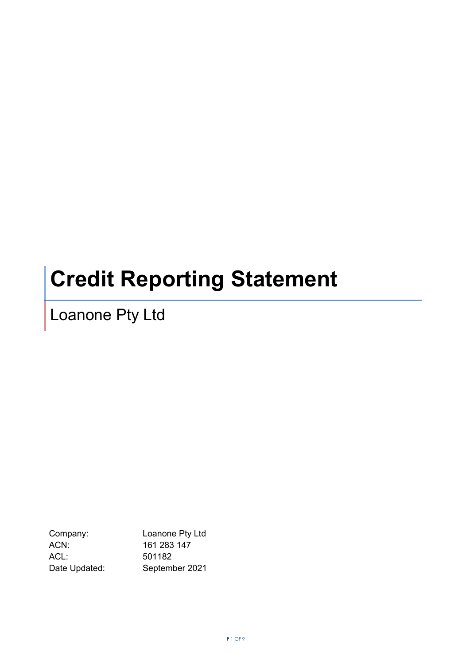# **Credit Reporting Statement**

Loanone Pty Ltd

Company: Loanone Pty Ltd ACN: 161 283 147 ACL: 501182 Date Updated: September 2021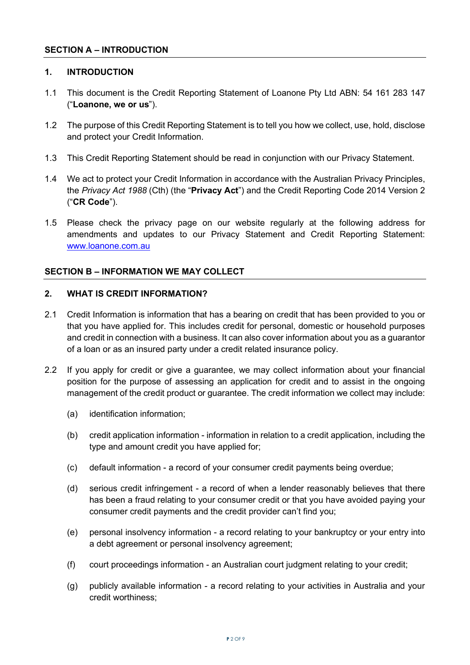## **SECTION A – INTRODUCTION**

### **1. INTRODUCTION**

- 1.1 This document is the Credit Reporting Statement of Loanone Pty Ltd ABN: 54 161 283 147 ("**Loanone, we or us**").
- 1.2 The purpose of this Credit Reporting Statement is to tell you how we collect, use, hold, disclose and protect your Credit Information.
- 1.3 This Credit Reporting Statement should be read in conjunction with our Privacy Statement.
- 1.4 We act to protect your Credit Information in accordance with the Australian Privacy Principles, the *Privacy Act 1988* (Cth) (the "**Privacy Act**") and the Credit Reporting Code 2014 Version 2 ("**CR Code**").
- 1.5 Please check the privacy page on our website regularly at the following address for amendments and updates to our Privacy Statement and Credit Reporting Statement: [www.loanone.com.au](http://www.loanone.com.au/)

## **SECTION B – INFORMATION WE MAY COLLECT**

## **2. WHAT IS CREDIT INFORMATION?**

- 2.1 Credit Information is information that has a bearing on credit that has been provided to you or that you have applied for. This includes credit for personal, domestic or household purposes and credit in connection with a business. It can also cover information about you as a guarantor of a loan or as an insured party under a credit related insurance policy.
- 2.2 If you apply for credit or give a guarantee, we may collect information about your financial position for the purpose of assessing an application for credit and to assist in the ongoing management of the credit product or guarantee. The credit information we collect may include:
	- (a) identification information;
	- (b) credit application information information in relation to a credit application, including the type and amount credit you have applied for;
	- (c) default information a record of your consumer credit payments being overdue;
	- (d) serious credit infringement a record of when a lender reasonably believes that there has been a fraud relating to your consumer credit or that you have avoided paying your consumer credit payments and the credit provider can't find you;
	- (e) personal insolvency information a record relating to your bankruptcy or your entry into a debt agreement or personal insolvency agreement;
	- (f) court proceedings information an Australian court judgment relating to your credit;
	- (g) publicly available information a record relating to your activities in Australia and your credit worthiness;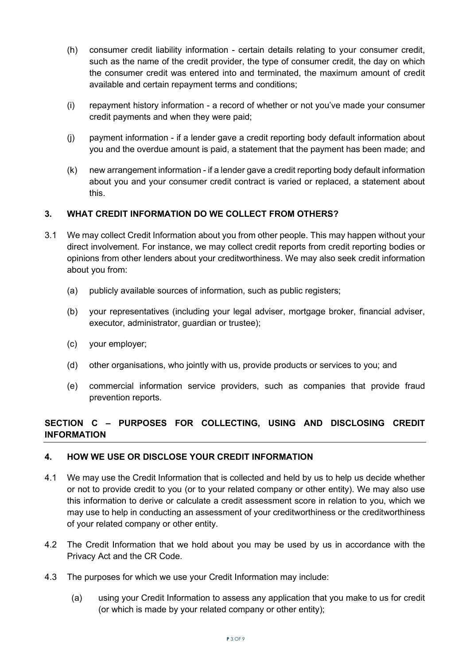- (h) consumer credit liability information certain details relating to your consumer credit, such as the name of the credit provider, the type of consumer credit, the day on which the consumer credit was entered into and terminated, the maximum amount of credit available and certain repayment terms and conditions;
- (i) repayment history information a record of whether or not you've made your consumer credit payments and when they were paid;
- (j) payment information if a lender gave a credit reporting body default information about you and the overdue amount is paid, a statement that the payment has been made; and
- (k) new arrangement information if a lender gave a credit reporting body default information about you and your consumer credit contract is varied or replaced, a statement about this.

## **3. WHAT CREDIT INFORMATION DO WE COLLECT FROM OTHERS?**

- 3.1 We may collect Credit Information about you from other people. This may happen without your direct involvement. For instance, we may collect credit reports from credit reporting bodies or opinions from other lenders about your creditworthiness. We may also seek credit information about you from:
	- (a) publicly available sources of information, such as public registers;
	- (b) your representatives (including your legal adviser, mortgage broker, financial adviser, executor, administrator, guardian or trustee);
	- (c) your employer;
	- (d) other organisations, who jointly with us, provide products or services to you; and
	- (e) commercial information service providers, such as companies that provide fraud prevention reports.

## **SECTION C – PURPOSES FOR COLLECTING, USING AND DISCLOSING CREDIT INFORMATION**

## **4. HOW WE USE OR DISCLOSE YOUR CREDIT INFORMATION**

- 4.1 We may use the Credit Information that is collected and held by us to help us decide whether or not to provide credit to you (or to your related company or other entity). We may also use this information to derive or calculate a credit assessment score in relation to you, which we may use to help in conducting an assessment of your creditworthiness or the creditworthiness of your related company or other entity.
- 4.2 The Credit Information that we hold about you may be used by us in accordance with the Privacy Act and the CR Code.
- 4.3 The purposes for which we use your Credit Information may include:
	- (a) using your Credit Information to assess any application that you make to us for credit (or which is made by your related company or other entity);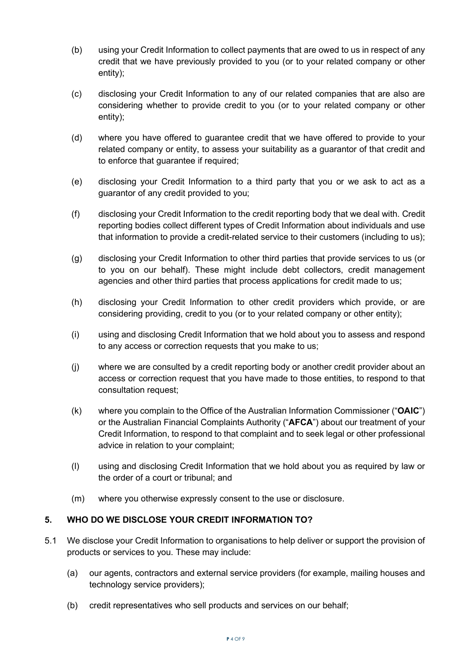- (b) using your Credit Information to collect payments that are owed to us in respect of any credit that we have previously provided to you (or to your related company or other entity);
- (c) disclosing your Credit Information to any of our related companies that are also are considering whether to provide credit to you (or to your related company or other entity);
- (d) where you have offered to guarantee credit that we have offered to provide to your related company or entity, to assess your suitability as a guarantor of that credit and to enforce that guarantee if required;
- (e) disclosing your Credit Information to a third party that you or we ask to act as a guarantor of any credit provided to you;
- (f) disclosing your Credit Information to the credit reporting body that we deal with. Credit reporting bodies collect different types of Credit Information about individuals and use that information to provide a credit-related service to their customers (including to us);
- (g) disclosing your Credit Information to other third parties that provide services to us (or to you on our behalf). These might include debt collectors, credit management agencies and other third parties that process applications for credit made to us;
- (h) disclosing your Credit Information to other credit providers which provide, or are considering providing, credit to you (or to your related company or other entity);
- (i) using and disclosing Credit Information that we hold about you to assess and respond to any access or correction requests that you make to us;
- (j) where we are consulted by a credit reporting body or another credit provider about an access or correction request that you have made to those entities, to respond to that consultation request;
- (k) where you complain to the Office of the Australian Information Commissioner ("**OAIC**") or the Australian Financial Complaints Authority ("**AFCA**") about our treatment of your Credit Information, to respond to that complaint and to seek legal or other professional advice in relation to your complaint;
- (l) using and disclosing Credit Information that we hold about you as required by law or the order of a court or tribunal; and
- (m) where you otherwise expressly consent to the use or disclosure.

# **5. WHO DO WE DISCLOSE YOUR CREDIT INFORMATION TO?**

- 5.1 We disclose your Credit Information to organisations to help deliver or support the provision of products or services to you. These may include:
	- (a) our agents, contractors and external service providers (for example, mailing houses and technology service providers);
	- (b) credit representatives who sell products and services on our behalf;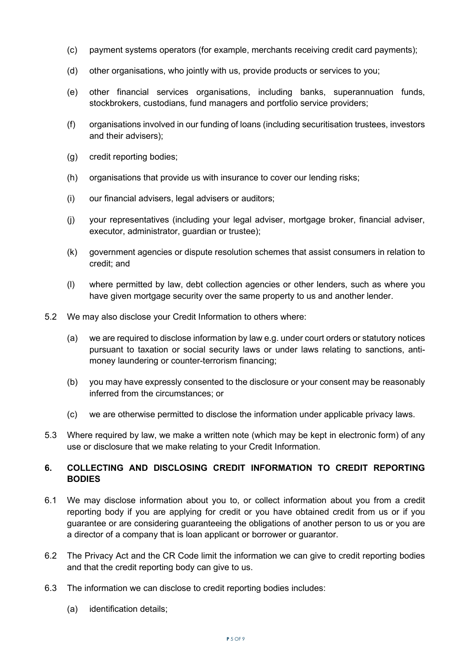- (c) payment systems operators (for example, merchants receiving credit card payments);
- (d) other organisations, who jointly with us, provide products or services to you;
- (e) other financial services organisations, including banks, superannuation funds, stockbrokers, custodians, fund managers and portfolio service providers;
- (f) organisations involved in our funding of loans (including securitisation trustees, investors and their advisers);
- (g) credit reporting bodies;
- (h) organisations that provide us with insurance to cover our lending risks;
- (i) our financial advisers, legal advisers or auditors;
- (j) your representatives (including your legal adviser, mortgage broker, financial adviser, executor, administrator, guardian or trustee);
- (k) government agencies or dispute resolution schemes that assist consumers in relation to credit; and
- (l) where permitted by law, debt collection agencies or other lenders, such as where you have given mortgage security over the same property to us and another lender.
- 5.2 We may also disclose your Credit Information to others where:
	- (a) we are required to disclose information by law e.g. under court orders or statutory notices pursuant to taxation or social security laws or under laws relating to sanctions, antimoney laundering or counter-terrorism financing;
	- (b) you may have expressly consented to the disclosure or your consent may be reasonably inferred from the circumstances; or
	- (c) we are otherwise permitted to disclose the information under applicable privacy laws.
- 5.3 Where required by law, we make a written note (which may be kept in electronic form) of any use or disclosure that we make relating to your Credit Information.

## **6. COLLECTING AND DISCLOSING CREDIT INFORMATION TO CREDIT REPORTING BODIES**

- 6.1 We may disclose information about you to, or collect information about you from a credit reporting body if you are applying for credit or you have obtained credit from us or if you guarantee or are considering guaranteeing the obligations of another person to us or you are a director of a company that is loan applicant or borrower or guarantor.
- 6.2 The Privacy Act and the CR Code limit the information we can give to credit reporting bodies and that the credit reporting body can give to us.
- 6.3 The information we can disclose to credit reporting bodies includes:
	- (a) identification details;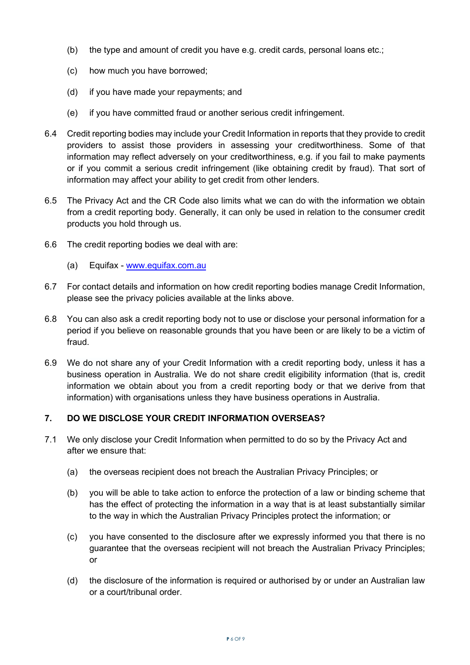- (b) the type and amount of credit you have e.g. credit cards, personal loans etc.;
- (c) how much you have borrowed;
- (d) if you have made your repayments; and
- (e) if you have committed fraud or another serious credit infringement.
- 6.4 Credit reporting bodies may include your Credit Information in reports that they provide to credit providers to assist those providers in assessing your creditworthiness. Some of that information may reflect adversely on your creditworthiness, e.g. if you fail to make payments or if you commit a serious credit infringement (like obtaining credit by fraud). That sort of information may affect your ability to get credit from other lenders.
- 6.5 The Privacy Act and the CR Code also limits what we can do with the information we obtain from a credit reporting body. Generally, it can only be used in relation to the consumer credit products you hold through us.
- 6.6 The credit reporting bodies we deal with are:
	- (a) Equifax [www.equifax.com.au](http://www.equifax.com.au/)
- 6.7 For contact details and information on how credit reporting bodies manage Credit Information, please see the privacy policies available at the links above.
- 6.8 You can also ask a credit reporting body not to use or disclose your personal information for a period if you believe on reasonable grounds that you have been or are likely to be a victim of fraud.
- 6.9 We do not share any of your Credit Information with a credit reporting body, unless it has a business operation in Australia. We do not share credit eligibility information (that is, credit information we obtain about you from a credit reporting body or that we derive from that information) with organisations unless they have business operations in Australia.

## **7. DO WE DISCLOSE YOUR CREDIT INFORMATION OVERSEAS?**

- 7.1 We only disclose your Credit Information when permitted to do so by the Privacy Act and after we ensure that:
	- (a) the overseas recipient does not breach the Australian Privacy Principles; or
	- (b) you will be able to take action to enforce the protection of a law or binding scheme that has the effect of protecting the information in a way that is at least substantially similar to the way in which the Australian Privacy Principles protect the information; or
	- (c) you have consented to the disclosure after we expressly informed you that there is no guarantee that the overseas recipient will not breach the Australian Privacy Principles; or
	- (d) the disclosure of the information is required or authorised by or under an Australian law or a court/tribunal order.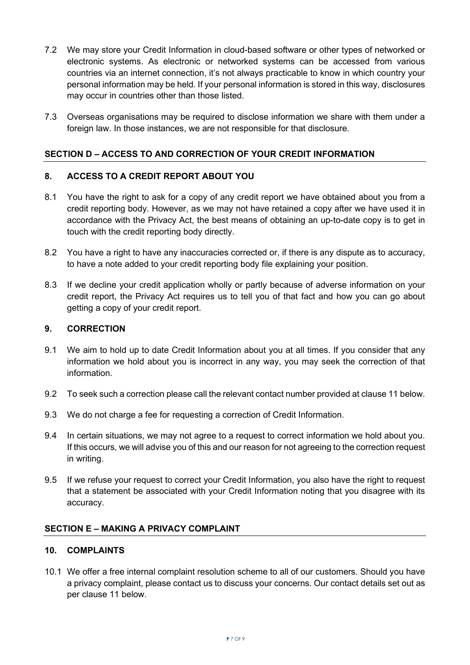- 7.2 We may store your Credit Information in cloud-based software or other types of networked or electronic systems. As electronic or networked systems can be accessed from various countries via an internet connection, it's not always practicable to know in which country your personal information may be held. If your personal information is stored in this way, disclosures may occur in countries other than those listed.
- 7.3 Overseas organisations may be required to disclose information we share with them under a foreign law. In those instances, we are not responsible for that disclosure.

# **SECTION D – ACCESS TO AND CORRECTION OF YOUR CREDIT INFORMATION**

## **8. ACCESS TO A CREDIT REPORT ABOUT YOU**

- 8.1 You have the right to ask for a copy of any credit report we have obtained about you from a credit reporting body. However, as we may not have retained a copy after we have used it in accordance with the Privacy Act, the best means of obtaining an up-to-date copy is to get in touch with the credit reporting body directly.
- 8.2 You have a right to have any inaccuracies corrected or, if there is any dispute as to accuracy, to have a note added to your credit reporting body file explaining your position.
- 8.3 If we decline your credit application wholly or partly because of adverse information on your credit report, the Privacy Act requires us to tell you of that fact and how you can go about getting a copy of your credit report.

## **9. CORRECTION**

- 9.1 We aim to hold up to date Credit Information about you at all times. If you consider that any information we hold about you is incorrect in any way, you may seek the correction of that information.
- 9.2 To seek such a correction please call the relevant contact number provided at clause 11 below.
- 9.3 We do not charge a fee for requesting a correction of Credit Information.
- 9.4 In certain situations, we may not agree to a request to correct information we hold about you. If this occurs, we will advise you of this and our reason for not agreeing to the correction request in writing.
- 9.5 If we refuse your request to correct your Credit Information, you also have the right to request that a statement be associated with your Credit Information noting that you disagree with its accuracy.

## **SECTION E – MAKING A PRIVACY COMPLAINT**

## **10. COMPLAINTS**

10.1 We offer a free internal complaint resolution scheme to all of our customers. Should you have a privacy complaint, please contact us to discuss your concerns. Our contact details set out as per clause 11 below.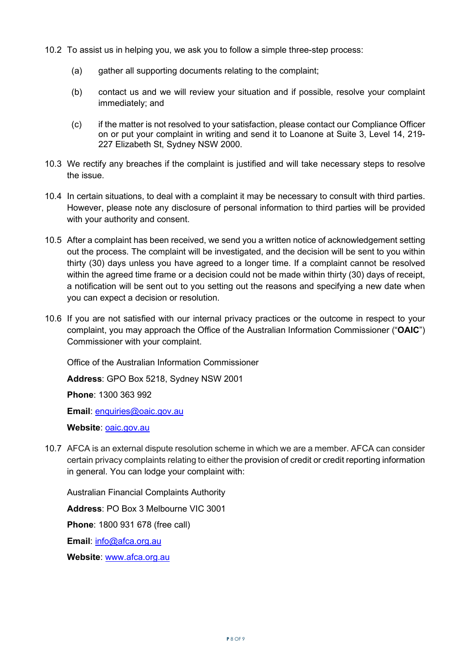- 10.2 To assist us in helping you, we ask you to follow a simple three-step process:
	- (a) gather all supporting documents relating to the complaint;
	- (b) contact us and we will review your situation and if possible, resolve your complaint immediately; and
	- (c) if the matter is not resolved to your satisfaction, please contact our Compliance Officer on or put your complaint in writing and send it to Loanone at Suite 3, Level 14, 219- 227 Elizabeth St, Sydney NSW 2000.
- 10.3 We rectify any breaches if the complaint is justified and will take necessary steps to resolve the issue.
- 10.4 In certain situations, to deal with a complaint it may be necessary to consult with third parties. However, please note any disclosure of personal information to third parties will be provided with your authority and consent.
- 10.5 After a complaint has been received, we send you a written notice of acknowledgement setting out the process. The complaint will be investigated, and the decision will be sent to you within thirty (30) days unless you have agreed to a longer time. If a complaint cannot be resolved within the agreed time frame or a decision could not be made within thirty (30) days of receipt. a notification will be sent out to you setting out the reasons and specifying a new date when you can expect a decision or resolution.
- 10.6 If you are not satisfied with our internal privacy practices or the outcome in respect to your complaint, you may approach the Office of the Australian Information Commissioner ("**OAIC**") Commissioner with your complaint.

Office of the Australian Information Commissioner

**Address**: GPO Box 5218, Sydney NSW 2001

**Phone**: 1300 363 992

**Email**: enquiries@oaic.gov.au

**Website**: oaic.gov.au

10.7 AFCA is an external dispute resolution scheme in which we are a member. AFCA can consider certain privacy complaints relating to either the provision of credit or credit reporting information in general. You can lodge your complaint with:

Australian Financial Complaints Authority

**Address**: PO Box 3 Melbourne VIC 3001

**Phone**: 1800 931 678 (free call)

**Email**: info@afca.org.au

**Website**: www.afca.org.au